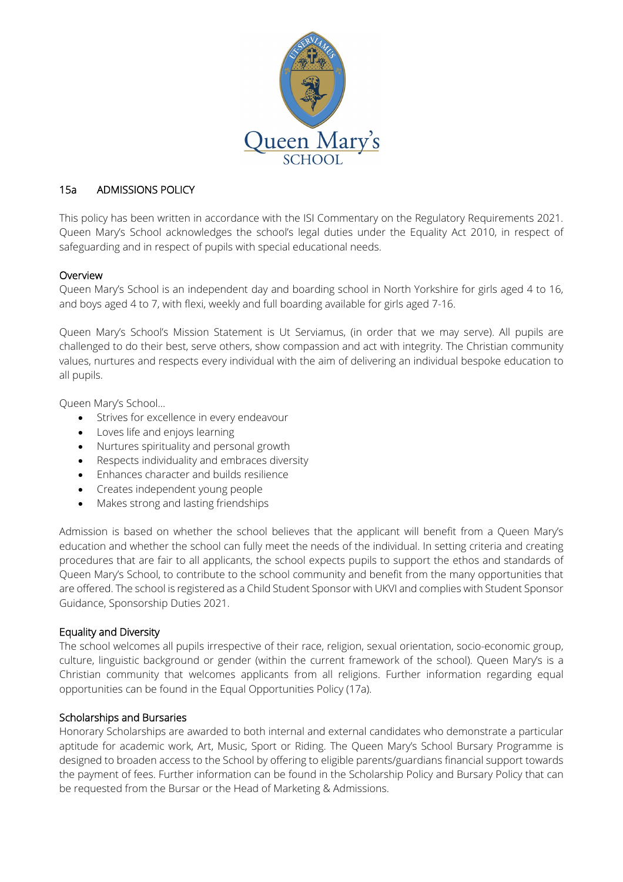

# 15a ADMISSIONS POLICY

This policy has been written in accordance with the ISI Commentary on the Regulatory Requirements 2021. Queen Mary's School acknowledges the school's legal duties under the Equality Act 2010, in respect of safeguarding and in respect of pupils with special educational needs.

## Overview

Queen Mary's School is an independent day and boarding school in North Yorkshire for girls aged 4 to 16, and boys aged 4 to 7, with flexi, weekly and full boarding available for girls aged 7-16.

Queen Mary's School's Mission Statement is Ut Serviamus, (in order that we may serve). All pupils are challenged to do their best, serve others, show compassion and act with integrity. The Christian community values, nurtures and respects every individual with the aim of delivering an individual bespoke education to all pupils.

Queen Mary's School…

- Strives for excellence in every endeavour
- Loves life and enjoys learning
- Nurtures spirituality and personal growth
- Respects individuality and embraces diversity
- Enhances character and builds resilience
- Creates independent young people
- Makes strong and lasting friendships

Admission is based on whether the school believes that the applicant will benefit from a Queen Mary's education and whether the school can fully meet the needs of the individual. In setting criteria and creating procedures that are fair to all applicants, the school expects pupils to support the ethos and standards of Queen Mary's School, to contribute to the school community and benefit from the many opportunities that are offered. The school is registered as a Child Student Sponsor with UKVI and complies with Student Sponsor Guidance, Sponsorship Duties 2021.

### Equality and Diversity

The school welcomes all pupils irrespective of their race, religion, sexual orientation, socio-economic group, culture, linguistic background or gender (within the current framework of the school). Queen Mary's is a Christian community that welcomes applicants from all religions. Further information regarding equal opportunities can be found in the Equal Opportunities Policy (17a).

### Scholarships and Bursaries

Honorary Scholarships are awarded to both internal and external candidates who demonstrate a particular aptitude for academic work, Art, Music, Sport or Riding. The Queen Mary's School Bursary Programme is designed to broaden access to the School by offering to eligible parents/guardians financial support towards the payment of fees. Further information can be found in the Scholarship Policy and Bursary Policy that can be requested from the Bursar or the Head of Marketing & Admissions.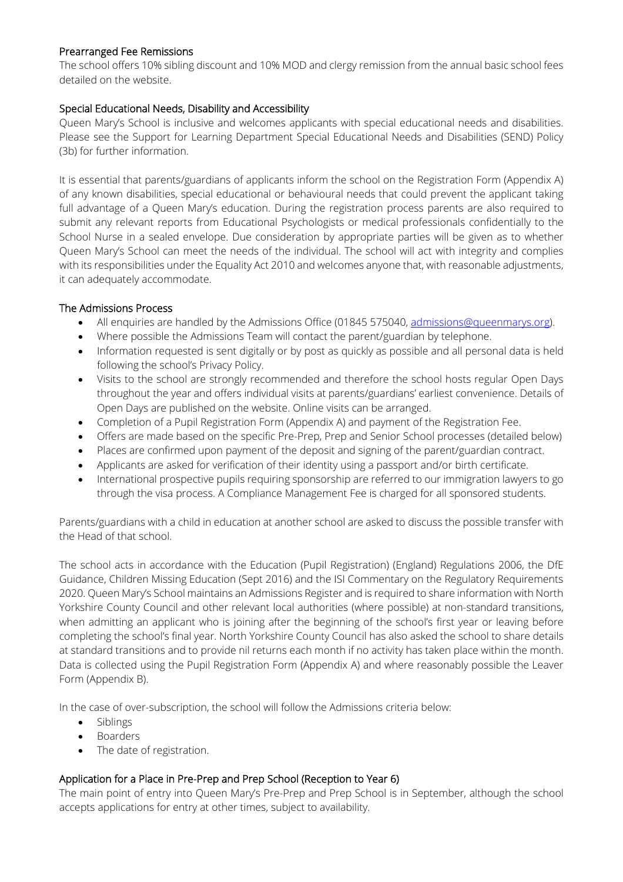## Prearranged Fee Remissions

The school offers 10% sibling discount and 10% MOD and clergy remission from the annual basic school fees detailed on the website.

## Special Educational Needs, Disability and Accessibility

Queen Mary's School is inclusive and welcomes applicants with special educational needs and disabilities. Please see the Support for Learning Department Special Educational Needs and Disabilities (SEND) Policy (3b) for further information.

It is essential that parents/guardians of applicants inform the school on the Registration Form (Appendix A) of any known disabilities, special educational or behavioural needs that could prevent the applicant taking full advantage of a Queen Mary's education. During the registration process parents are also required to submit any relevant reports from Educational Psychologists or medical professionals confidentially to the School Nurse in a sealed envelope. Due consideration by appropriate parties will be given as to whether Queen Mary's School can meet the needs of the individual. The school will act with integrity and complies with its responsibilities under the Equality Act 2010 and welcomes anyone that, with reasonable adjustments, it can adequately accommodate.

### The Admissions Process

- All enquiries are handled by the Admissions Office (01845 575040, [admissions@queenmarys.org\)](mailto:admissions@queenmarys.org).
- Where possible the Admissions Team will contact the parent/guardian by telephone.
- Information requested is sent digitally or by post as quickly as possible and all personal data is held following the school's Privacy Policy.
- Visits to the school are strongly recommended and therefore the school hosts regular Open Days throughout the year and offers individual visits at parents/guardians' earliest convenience. Details of Open Days are published on the website. Online visits can be arranged.
- Completion of a Pupil Registration Form (Appendix A) and payment of the Registration Fee.
- Offers are made based on the specific Pre-Prep, Prep and Senior School processes (detailed below)
- Places are confirmed upon payment of the deposit and signing of the parent/guardian contract.
- Applicants are asked for verification of their identity using a passport and/or birth certificate.
- International prospective pupils requiring sponsorship are referred to our immigration lawyers to go through the visa process. A Compliance Management Fee is charged for all sponsored students.

Parents/guardians with a child in education at another school are asked to discuss the possible transfer with the Head of that school.

The school acts in accordance with the Education (Pupil Registration) (England) Regulations 2006, the DfE Guidance, Children Missing Education (Sept 2016) and the ISI Commentary on the Regulatory Requirements 2020. Queen Mary's School maintains an Admissions Register and is required to share information with North Yorkshire County Council and other relevant local authorities (where possible) at non-standard transitions, when admitting an applicant who is joining after the beginning of the school's first year or leaving before completing the school's final year. North Yorkshire County Council has also asked the school to share details at standard transitions and to provide nil returns each month if no activity has taken place within the month. Data is collected using the Pupil Registration Form (Appendix A) and where reasonably possible the Leaver Form (Appendix B).

In the case of over-subscription, the school will follow the Admissions criteria below:

- Siblings
- Boarders
- The date of registration.

# Application for a Place in Pre-Prep and Prep School (Reception to Year 6)

The main point of entry into Queen Mary's Pre-Prep and Prep School is in September, although the school accepts applications for entry at other times, subject to availability.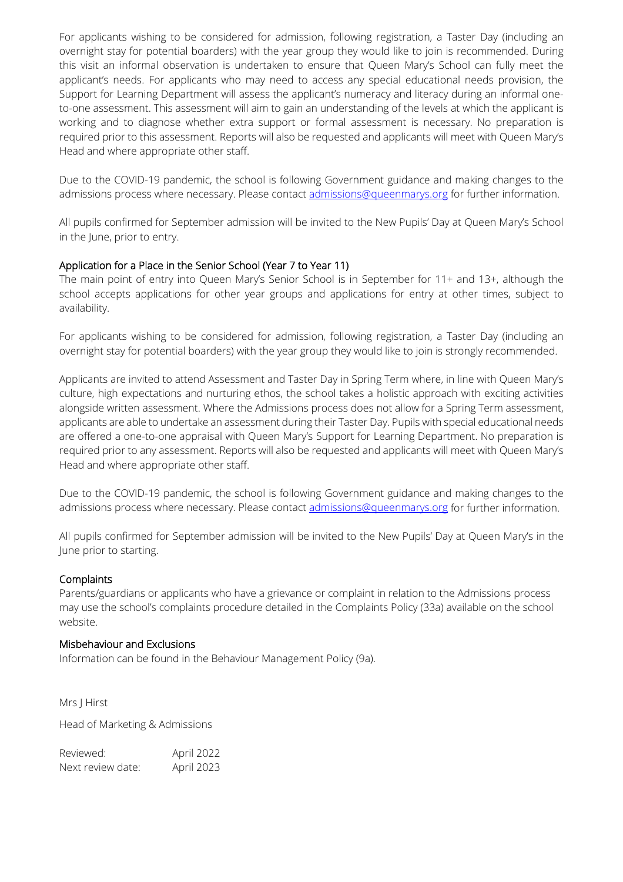For applicants wishing to be considered for admission, following registration, a Taster Day (including an overnight stay for potential boarders) with the year group they would like to join is recommended. During this visit an informal observation is undertaken to ensure that Queen Mary's School can fully meet the applicant's needs. For applicants who may need to access any special educational needs provision, the Support for Learning Department will assess the applicant's numeracy and literacy during an informal oneto-one assessment. This assessment will aim to gain an understanding of the levels at which the applicant is working and to diagnose whether extra support or formal assessment is necessary. No preparation is required prior to this assessment. Reports will also be requested and applicants will meet with Queen Mary's Head and where appropriate other staff.

Due to the COVID-19 pandemic, the school is following Government guidance and making changes to the admissions process where necessary. Please contact [admissions@queenmarys.org](mailto:admissions@queenmarys.org) for further information.

All pupils confirmed for September admission will be invited to the New Pupils' Day at Queen Mary's School in the June, prior to entry.

### Application for a Place in the Senior School (Year 7 to Year 11)

The main point of entry into Queen Mary's Senior School is in September for 11+ and 13+, although the school accepts applications for other year groups and applications for entry at other times, subject to availability.

For applicants wishing to be considered for admission, following registration, a Taster Day (including an overnight stay for potential boarders) with the year group they would like to join is strongly recommended.

Applicants are invited to attend Assessment and Taster Day in Spring Term where, in line with Queen Mary's culture, high expectations and nurturing ethos, the school takes a holistic approach with exciting activities alongside written assessment. Where the Admissions process does not allow for a Spring Term assessment, applicants are able to undertake an assessment during their Taster Day. Pupils with special educational needs are offered a one-to-one appraisal with Queen Mary's Support for Learning Department. No preparation is required prior to any assessment. Reports will also be requested and applicants will meet with Queen Mary's Head and where appropriate other staff.

Due to the COVID-19 pandemic, the school is following Government guidance and making changes to the admissions process where necessary. Please contact [admissions@queenmarys.org](mailto:admissions@queenmarys.org) for further information.

All pupils confirmed for September admission will be invited to the New Pupils' Day at Queen Mary's in the June prior to starting.

### **Complaints**

Parents/guardians or applicants who have a grievance or complaint in relation to the Admissions process may use the school's complaints procedure detailed in the Complaints Policy (33a) available on the school website.

### Misbehaviour and Exclusions

Information can be found in the Behaviour Management Policy (9a).

Mrs J Hirst Head of Marketing & Admissions

Reviewed: April 2022 Next review date: April 2023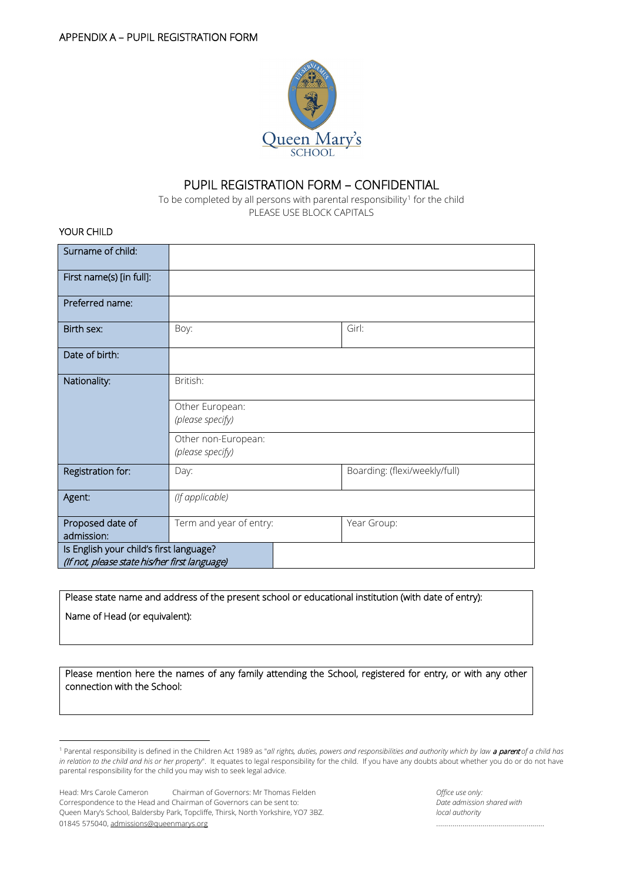

# PUPIL REGISTRATION FORM – CONFIDENTIAL

To be completed by all persons with parental responsibility<sup>[1](#page-3-0)</sup> for the child PLEASE USE BLOCK CAPITALS

YOUR CHILD

| Surname of child:                                                                        |                                         |                               |
|------------------------------------------------------------------------------------------|-----------------------------------------|-------------------------------|
| First name(s) [in full]:                                                                 |                                         |                               |
| Preferred name:                                                                          |                                         |                               |
| Birth sex:                                                                               | Boy:                                    | Girl:                         |
| Date of birth:                                                                           |                                         |                               |
| Nationality:                                                                             | British:                                |                               |
|                                                                                          | Other European:<br>(please specify)     |                               |
|                                                                                          | Other non-European:<br>(please specify) |                               |
| Registration for:                                                                        | Day:                                    | Boarding: (flexi/weekly/full) |
| Agent:                                                                                   | (If applicable)                         |                               |
| Proposed date of<br>admission:                                                           | Term and year of entry:                 | Year Group:                   |
| Is English your child's first language?<br>(If not, please state his/her first language) |                                         |                               |

Please state name and address of the present school or educational institution (with date of entry): Name of Head (or equivalent):

Please mention here the names of any family attending the School, registered for entry, or with any other connection with the School:

<span id="page-3-0"></span> <sup>1</sup> Parental responsibility is defined in the Children Act 1989 as "*all rights, duties, powers and responsibilities and authority which by law* a parent *of a child has in relation to the child and his or her property*". It equates to legal responsibility for the child. If you have any doubts about whether you do or do not have parental responsibility for the child you may wish to seek legal advice.

Head: Mrs Carole Cameron Chairman of Governors: Mr Thomas Fielden **Chairman Communisty Communisty** Communisty Communisty Communisty Communisty Communisty Communisty Communisty Communisty Communisty Communisty Communisty Co Correspondence to the Head and Chairman of Governors can be sent to: *Date admission shared with* Queen Mary's School, Baldersby Park, Topcliffe, Thirsk, North Yorkshire, YO7 3BZ. *local authority* 01845 575040, [admissions@queenmarys.org](mailto:admissions@queenmarys.org) ………………………………………………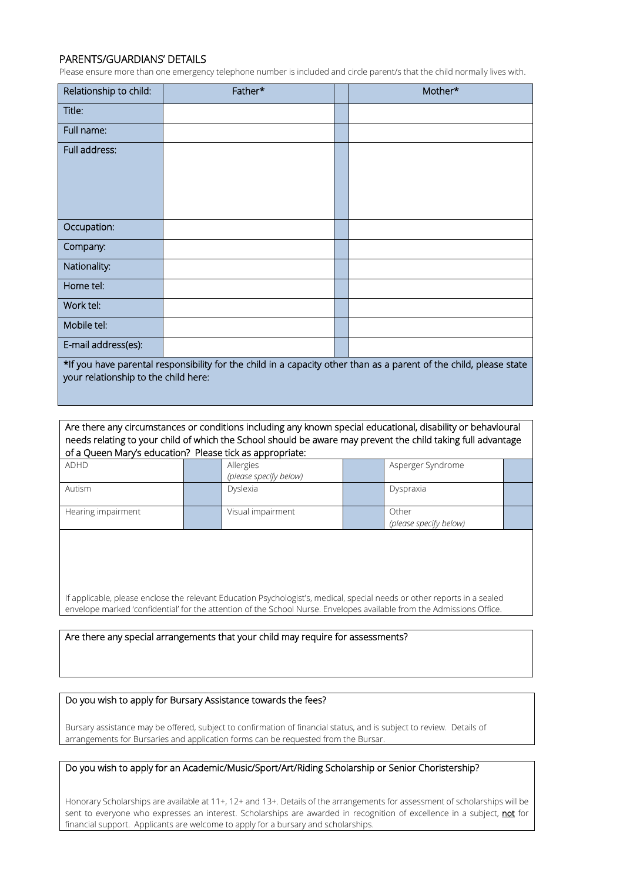### PARENTS/GUARDIANS' DETAILS

Please ensure more than one emergency telephone number is included and circle parent/s that the child normally lives with.

| Relationship to child:                                                                                             | Father* |  | Mother* |  |
|--------------------------------------------------------------------------------------------------------------------|---------|--|---------|--|
| Title:                                                                                                             |         |  |         |  |
| Full name:                                                                                                         |         |  |         |  |
| Full address:                                                                                                      |         |  |         |  |
|                                                                                                                    |         |  |         |  |
| Occupation:                                                                                                        |         |  |         |  |
| Company:                                                                                                           |         |  |         |  |
| Nationality:                                                                                                       |         |  |         |  |
| Home tel:                                                                                                          |         |  |         |  |
| Work tel:                                                                                                          |         |  |         |  |
| Mobile tel:                                                                                                        |         |  |         |  |
| E-mail address(es):                                                                                                |         |  |         |  |
| *If you have parental responsibility for the child in a capacity other than as a parent of the child, please state |         |  |         |  |

your relationship to the child here:

Are there any circumstances or conditions including any known special educational, disability or behavioural needs relating to your child of which the School should be aware may prevent the child taking full advantage of a Queen Mary's education? Please tick as appropriate:

| <b>ADHD</b>        | Allergies<br>(please specify below) | Asperger Syndrome               |  |
|--------------------|-------------------------------------|---------------------------------|--|
| Autism             | Dyslexia                            | Dyspraxia                       |  |
| Hearing impairment | Visual impairment                   | Other<br>(please specify below) |  |

If applicable, please enclose the relevant Education Psychologist's, medical, special needs or other reports in a sealed envelope marked 'confidential' for the attention of the School Nurse. Envelopes available from the Admissions Office.

Are there any special arrangements that your child may require for assessments?

#### Do you wish to apply for Bursary Assistance towards the fees?

Bursary assistance may be offered, subject to confirmation of financial status, and is subject to review. Details of arrangements for Bursaries and application forms can be requested from the Bursar.

### Do you wish to apply for an Academic/Music/Sport/Art/Riding Scholarship or Senior Choristership?

Honorary Scholarships are available at 11+, 12+ and 13+. Details of the arrangements for assessment of scholarships will be sent to everyone who expresses an interest. Scholarships are awarded in recognition of excellence in a subject, not for financial support. Applicants are welcome to apply for a bursary and scholarships.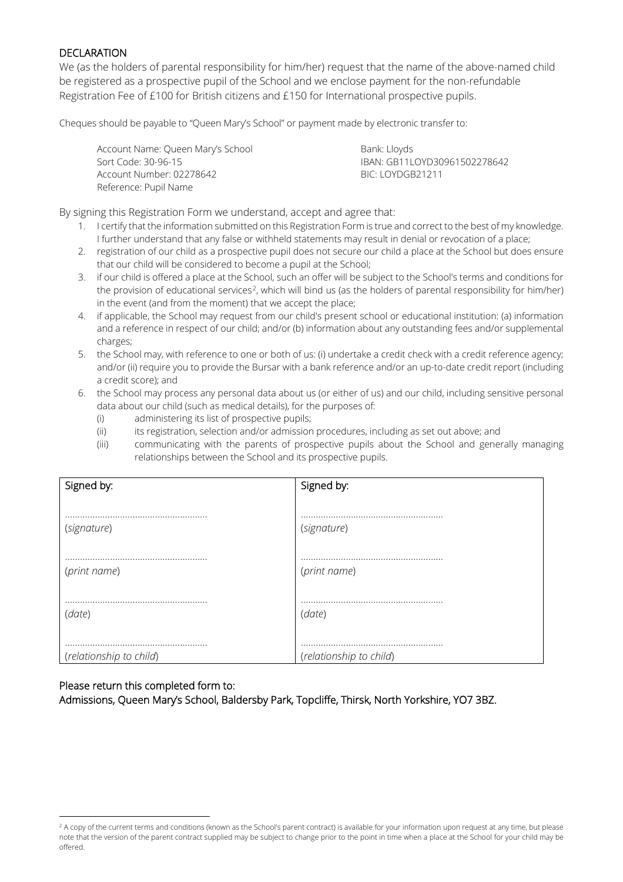### DECLARATION

We (as the holders of parental responsibility for him/her) request that the name of the above-named child be registered as a prospective pupil of the School and we enclose payment for the non-refundable Registration Fee of £100 for British citizens and £150 for International prospective pupils.

Cheques should be payable to "Queen Mary's School" or payment made by electronic transfer to:

Account Name: Queen Mary's School Bank: Lloyds Sort Code: 30-96-15 IBAN: GB11LOYD30961502278642 Account Number: 02278642 BIC: LOYDGB21211 Reference: Pupil Name

By signing this Registration Form we understand, accept and agree that:

- 1. I certify that the information submitted on this Registration Form is true and correct to the best of my knowledge. I further understand that any false or withheld statements may result in denial or revocation of a place;
- 2. registration of our child as a prospective pupil does not secure our child a place at the School but does ensure that our child will be considered to become a pupil at the School;
- 3. if our child is offered a place at the School, such an offer will be subject to the School's terms and conditions for the provision of educational services<sup>2</sup>, which will bind us (as the holders of parental responsibility for him/her) in the event (and from the moment) that we accept the place;
- 4. if applicable, the School may request from our child's present school or educational institution: (a) information and a reference in respect of our child; and/or (b) information about any outstanding fees and/or supplemental charges;
- 5. the School may, with reference to one or both of us: (i) undertake a credit check with a credit reference agency; and/or (ii) require you to provide the Bursar with a bank reference and/or an up-to-date credit report (including a credit score); and
- 6. the School may process any personal data about us (or either of us) and our child, including sensitive personal data about our child (such as medical details), for the purposes of:
	- (i) administering its list of prospective pupils;
	- (ii) its registration, selection and/or admission procedures, including as set out above; and
	- (iii) communicating with the parents of prospective pupils about the School and generally managing relationships between the School and its prospective pupils.

| Signed by:              | Signed by:              |
|-------------------------|-------------------------|
|                         |                         |
| (signature)             | (signature)             |
|                         |                         |
| (print name)            | (print name)            |
|                         |                         |
| (date)                  | (date)                  |
|                         |                         |
| (relationship to child) | (relationship to child) |

### Please return this completed form to: Admissions, Queen Mary's School, Baldersby Park, Topcliffe, Thirsk, North Yorkshire, YO7 3BZ.

<span id="page-5-0"></span> <sup>2</sup> A copy of the current terms and conditions (known as the School's parent contract) is available for your information upon request at any time, but please note that the version of the parent contract supplied may be subject to change prior to the point in time when a place at the School for your child may be offered.